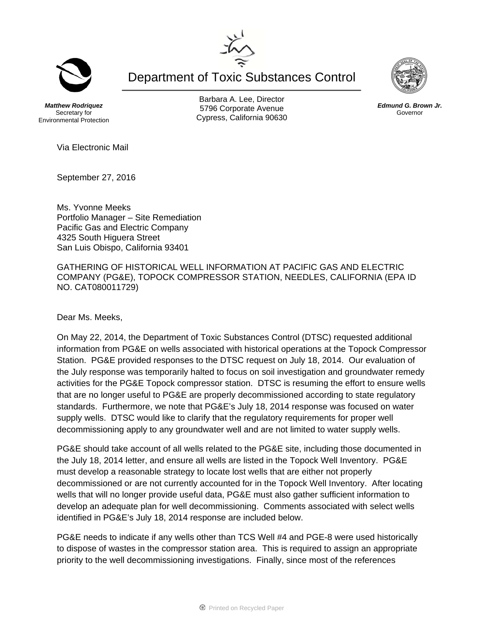Department of Toxic Substances Control

*Matthew Rodriquez*  Secretary for Environmental Protection

Barbara A. Lee, Director 5796 Corporate Avenue Cypress, California 90630

Via Electronic Mail

September 27, 2016

Ms. Yvonne Meeks Portfolio Manager – Site Remediation Pacific Gas and Electric Company 4325 South Higuera Street San Luis Obispo, California 93401

GATHERING OF HISTORICAL WELL INFORMATION AT PACIFIC GAS AND ELECTRIC COMPANY (PG&E), TOPOCK COMPRESSOR STATION, NEEDLES, CALIFORNIA (EPA ID NO. CAT080011729)

Dear Ms. Meeks,

On May 22, 2014, the Department of Toxic Substances Control (DTSC) requested additional information from PG&E on wells associated with historical operations at the Topock Compressor Station. PG&E provided responses to the DTSC request on July 18, 2014. Our evaluation of the July response was temporarily halted to focus on soil investigation and groundwater remedy activities for the PG&E Topock compressor station. DTSC is resuming the effort to ensure wells that are no longer useful to PG&E are properly decommissioned according to state regulatory standards. Furthermore, we note that PG&E's July 18, 2014 response was focused on water supply wells. DTSC would like to clarify that the regulatory requirements for proper well decommissioning apply to any groundwater well and are not limited to water supply wells.

PG&E should take account of all wells related to the PG&E site, including those documented in the July 18, 2014 letter, and ensure all wells are listed in the Topock Well Inventory. PG&E must develop a reasonable strategy to locate lost wells that are either not properly decommissioned or are not currently accounted for in the Topock Well Inventory. After locating wells that will no longer provide useful data, PG&E must also gather sufficient information to develop an adequate plan for well decommissioning. Comments associated with select wells identified in PG&E's July 18, 2014 response are included below.

PG&E needs to indicate if any wells other than TCS Well #4 and PGE-8 were used historically to dispose of wastes in the compressor station area. This is required to assign an appropriate priority to the well decommissioning investigations. Finally, since most of the references





*Edmund G. Brown Jr.*  Governor

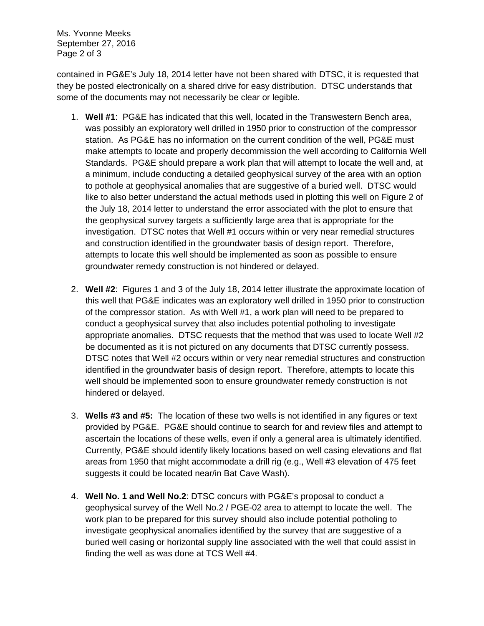Ms. Yvonne Meeks September 27, 2016 Page 2 of 3

contained in PG&E's July 18, 2014 letter have not been shared with DTSC, it is requested that they be posted electronically on a shared drive for easy distribution. DTSC understands that some of the documents may not necessarily be clear or legible.

- 1. **Well #1**: PG&E has indicated that this well, located in the Transwestern Bench area, was possibly an exploratory well drilled in 1950 prior to construction of the compressor station. As PG&E has no information on the current condition of the well, PG&E must make attempts to locate and properly decommission the well according to California Well Standards. PG&E should prepare a work plan that will attempt to locate the well and, at a minimum, include conducting a detailed geophysical survey of the area with an option to pothole at geophysical anomalies that are suggestive of a buried well. DTSC would like to also better understand the actual methods used in plotting this well on Figure 2 of the July 18, 2014 letter to understand the error associated with the plot to ensure that the geophysical survey targets a sufficiently large area that is appropriate for the investigation. DTSC notes that Well #1 occurs within or very near remedial structures and construction identified in the groundwater basis of design report. Therefore, attempts to locate this well should be implemented as soon as possible to ensure groundwater remedy construction is not hindered or delayed.
- 2. **Well #2**: Figures 1 and 3 of the July 18, 2014 letter illustrate the approximate location of this well that PG&E indicates was an exploratory well drilled in 1950 prior to construction of the compressor station. As with Well #1, a work plan will need to be prepared to conduct a geophysical survey that also includes potential potholing to investigate appropriate anomalies. DTSC requests that the method that was used to locate Well #2 be documented as it is not pictured on any documents that DTSC currently possess. DTSC notes that Well #2 occurs within or very near remedial structures and construction identified in the groundwater basis of design report. Therefore, attempts to locate this well should be implemented soon to ensure groundwater remedy construction is not hindered or delayed.
- 3. **Wells #3 and #5:** The location of these two wells is not identified in any figures or text provided by PG&E. PG&E should continue to search for and review files and attempt to ascertain the locations of these wells, even if only a general area is ultimately identified. Currently, PG&E should identify likely locations based on well casing elevations and flat areas from 1950 that might accommodate a drill rig (e.g., Well #3 elevation of 475 feet suggests it could be located near/in Bat Cave Wash).
- 4. **Well No. 1 and Well No.2**: DTSC concurs with PG&E's proposal to conduct a geophysical survey of the Well No.2 / PGE-02 area to attempt to locate the well. The work plan to be prepared for this survey should also include potential potholing to investigate geophysical anomalies identified by the survey that are suggestive of a buried well casing or horizontal supply line associated with the well that could assist in finding the well as was done at TCS Well #4.